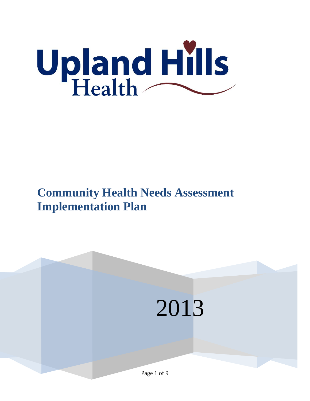

# **Community Health Needs Assessment Implementation Plan**

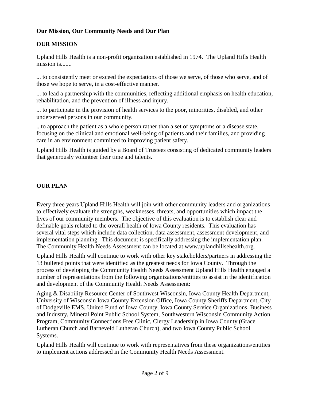# **Our Mission, Our Community Needs and Our Plan**

# **OUR MISSION**

Upland Hills Health is a non-profit organization established in 1974. The Upland Hills Health mission is.......

... to consistently meet or exceed the expectations of those we serve, of those who serve, and of those we hope to serve, in a cost-effective manner.

... to lead a partnership with the communities, reflecting additional emphasis on health education, rehabilitation, and the prevention of illness and injury.

... to participate in the provision of health services to the poor, minorities, disabled, and other underserved persons in our community.

...to approach the patient as a whole person rather than a set of symptoms or a disease state, focusing on the clinical and emotional well-being of patients and their families, and providing care in an environment committed to improving patient safety.

Upland Hills Health is guided by a Board of Trustees consisting of dedicated community leaders that generously volunteer their time and talents.

# **OUR PLAN**

Every three years Upland Hills Health will join with other community leaders and organizations to effectively evaluate the strengths, weaknesses, threats, and opportunities which impact the lives of our community members. The objective of this evaluation is to establish clear and definable goals related to the overall health of Iowa County residents. This evaluation has several vital steps which include data collection, data assessment, assessment development, and implementation planning. This document is specifically addressing the implementation plan. The Community Health Needs Assessment can be located at www.uplandhillsehealth.org.

Upland Hills Health will continue to work with other key stakeholders/partners in addressing the 13 bulleted points that were identified as the greatest needs for Iowa County. Through the process of developing the Community Health Needs Assessment Upland Hills Health engaged a number of representations from the following organizations/entities to assist in the identification and development of the Community Health Needs Assessment:

Aging & Disability Resource Center of Southwest Wisconsin, Iowa County Health Department, University of Wisconsin Iowa County Extension Office, Iowa County Sheriffs Department, City of Dodgeville EMS, United Fund of Iowa County, Iowa County Service Organizations, Business and Industry, Mineral Point Public School System, Southwestern Wisconsin Community Action Program, Community Connections Free Clinic, Clergy Leadership in Iowa County (Grace Lutheran Church and Barneveld Lutheran Church), and two Iowa County Public School Systems.

Upland Hills Health will continue to work with representatives from these organizations/entities to implement actions addressed in the Community Health Needs Assessment.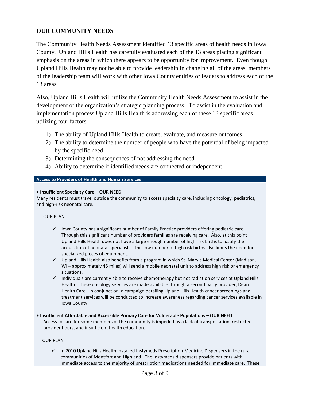# **OUR COMMUNITY NEEDS**

The Community Health Needs Assessment identified 13 specific areas of health needs in Iowa County. Upland Hills Health has carefully evaluated each of the 13 areas placing significant emphasis on the areas in which there appears to be opportunity for improvement. Even though Upland Hills Health may not be able to provide leadership in changing all of the areas, members of the leadership team will work with other Iowa County entities or leaders to address each of the 13 areas.

Also, Upland Hills Health will utilize the Community Health Needs Assessment to assist in the development of the organization's strategic planning process. To assist in the evaluation and implementation process Upland Hills Health is addressing each of these 13 specific areas utilizing four factors:

- 1) The ability of Upland Hills Health to create, evaluate, and measure outcomes
- 2) The ability to determine the number of people who have the potential of being impacted by the specific need
- 3) Determining the consequences of not addressing the need
- 4) Ability to determine if identified needs are connected or independent

# **Access to Providers of Health and Human Services**

# **• Insufficient Specialty Care – OUR NEED**

Many residents must travel outside the community to access specialty care, including oncology, pediatrics, and high-risk neonatal care.

# OUR PLAN

- $\checkmark$  lowa County has a significant number of Family Practice providers offering pediatric care. Through this significant number of providers families are receiving care. Also, at this point Upland Hills Health does not have a large enough number of high risk births to justify the acquisition of neonatal specialists. This low number of high risk births also limits the need for specialized pieces of equipment.
- $\checkmark$  Upland Hills Health also benefits from a program in which St. Mary's Medical Center (Madison, WI – approximately 45 miles) will send a mobile neonatal unit to address high risk or emergency situations.
- $\checkmark$  Individuals are currently able to receive chemotherapy but not radiation services at Upland Hills Health. These oncology services are made available through a second party provider, Dean Health Care. In conjunction, a campaign detailing Upland Hills Health cancer screenings and treatment services will be conducted to increase awareness regarding cancer services available in Iowa County.
- **Insufficient Affordable and Accessible Primary Care for Vulnerable Populations – OUR NEED**

Access to care for some members of the community is impeded by a lack of transportation, restricted provider hours, and insufficient health education.

# OUR PLAN

 $\checkmark$  In 2010 Upland Hills Health installed Instymeds Prescription Medicine Dispensers in the rural communities of Montfort and Highland. The Instymeds dispensers provide patients with immediate access to the majority of prescription medications needed for immediate care. These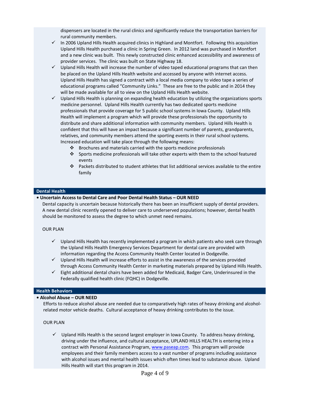dispensers are located in the rural clinics and significantly reduce the transportation barriers for rural community members.

- $\checkmark$  In 2006 Upland Hills Health acquired clinics in Highland and Montfort. Following this acquisition Upland Hills Health purchased a clinic in Spring Green. In 2012 land was purchased in Montfort and a new clinic was built. This newly constructed clinic enhanced accessibility and awareness of provider services. The clinic was built on State Highway 18.
- $\checkmark$  Upland Hills Health will increase the number of video taped educational programs that can then be placed on the Upland Hills Health website and accessed by anyone with internet access. Upland Hills Health has signed a contract with a local media company to video tape a series of educational programs called "Community Links." These are free to the public and in 2014 they will be made available for all to view on the Upland Hills Health website.
- $\checkmark$  Upland Hills Health is planning on expanding health education by utilizing the organizations sports medicine personnel. Upland Hills Health currently has two dedicated sports medicine professionals that provide coverage for 5 public school systems in Iowa County. Upland Hills Health will implement a program which will provide these professionals the opportunity to distribute and share additional information with community members. Upland Hills Health is confident that this will have an impact because a significant number of parents, grandparents, relatives, and community members attend the sporting events in their rural school systems. Increased education will take place through the following means:
	- Brochures and materials carried with the sports medicine professionals
	- Sports medicine professionals will take other experts with them to the school featured events
	- Packets distributed to student athletes that list additional services available to the entire family

#### **Dental Health**

#### **• Uncertain Access to Dental Care and Poor Dental Health Status – OUR NEED**

Dental capacity is uncertain because historically there has been an insufficient supply of dental providers. A new dental clinic recently opened to deliver care to underserved populations; however, dental health should be monitored to assess the degree to which unmet need remains.

# OUR PLAN

- $\checkmark$  Upland Hills Health has recently implemented a program in which patients who seek care through the Upland Hills Health Emergency Services Department for dental care are provided with information regarding the Access Community Health Center located in Dodgeville.
- $\checkmark$  Upland Hills Health will increase efforts to assist in the awareness of the services provided through Access Community Health Center in marketing materials prepared by Upland Hills Health.
- $\checkmark$  Eight additional dental chairs have been added for Medicaid, Badger Care, Underinsured in the Federally qualified health clinic (FQHC) in Dodgeville.

#### **Health Behaviors**

# **• Alcohol Abuse – OUR NEED**

Efforts to reduce alcohol abuse are needed due to comparatively high rates of heavy drinking and alcoholrelated motor vehicle deaths. Cultural acceptance of heavy drinking contributes to the issue.

#### OUR PLAN

 $\checkmark$  Upland Hills Health is the second largest employer in Iowa County. To address heavy drinking, driving under the influence, and cultural acceptance, UPLAND HILLS HEALTH is entering into a contract with Personal Assistance Program, [www.paseap.com.](http://www.paseap.com/) This program will provide employees and their family members access to a vast number of programs including assistance with alcohol issues and mental health issues which often times lead to substance abuse. Upland Hills Health will start this program in 2014.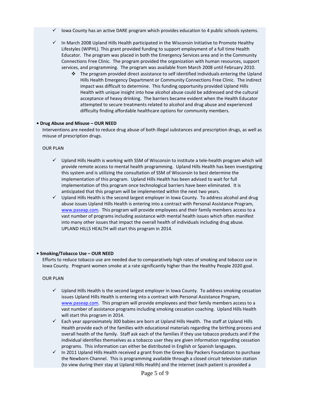- Iowa County has an active DARE program which provides education to 4 public schools systems.
- $\checkmark$  In March 2008 Upland Hills Health participated in the Wisconsin Initiative to Promote Healthy Lifestyles (WIPHL). This grant provided funding to support employment of a full time Health Educator. The program was placed in both the Emergency Services area and in the Community Connections Free Clinic. The program provided the organization with human resources, support services, and programming. The program was available from March 2008 until February 2010.
	- $\div$  The program provided direct assistance to self identified individuals entering the Upland Hills Health Emergency Department or Community Connections Free Clinic. The indirect impact was difficult to determine. This funding opportunity provided Upland Hills Health with unique insight into how alcohol abuse could be addressed and the cultural acceptance of heavy drinking. The barriers became evident when the Health Educator attempted to secure treatments related to alcohol and drug abuse and experienced difficulty finding affordable healthcare options for community members.

# **• Drug Abuse and Misuse – OUR NEED**

Interventions are needed to reduce drug abuse of both illegal substances and prescription drugs, as well as misuse of prescription drugs.

# OUR PLAN

- $\checkmark$  Upland Hills Health is working with SSM of Wisconsin to institute a tele-health program which will provide remote access to mental health programming. Upland Hills Health has been investigating this system and is utilizing the consultation of SSM of Wisconsin to best determine the implementation of this program. Upland Hills Health has been advised to wait for full implementation of this program once technological barriers have been eliminated. It is anticipated that this program will be implemented within the next two years.
- $\checkmark$  Upland Hills Health is the second largest employer in Iowa County. To address alcohol and drug abuse issues Upland Hills Health is entering into a contract with Personal Assistance Program, [www.paseap.com.](http://www.paseap.com/) This program will provide employees and their family members access to a vast number of programs including assistance with mental health issues which often manifest into many other issues that impact the overall health of individuals including drug abuse. UPLAND HILLS HEALTH will start this program in 2014.

# **• Smoking/Tobacco Use – OUR NEED**

Efforts to reduce tobacco use are needed due to comparatively high rates of smoking and tobacco use in Iowa County. Pregnant women smoke at a rate significantly higher than the Healthy People 2020 goal.

# OUR PLAN

- $\checkmark$  Upland Hills Health is the second largest employer in Iowa County. To address smoking cessation issues Upland Hills Health is entering into a contract with Personal Assistance Program, [www.paseap.com.](http://www.paseap.com/) This program will provide employees and their family members access to a vast number of assistance programs including smoking cessation coaching. Upland Hills Health will start this program in 2014.
- $\checkmark$  Each year approximately 300 babies are born at Upland Hills Health. The staff at Upland Hills Health provide each of the families with educational materials regarding the birthing process and overall health of the family. Staff ask each of the families if they use tobacco products and if the individual identifies themselves as a tobacco user they are given information regarding cessation programs. This information can either be distributed in English or Spanish languages.
- $\checkmark$  In 2011 Upland Hills Health received a grant from the Green Bay Packers Foundation to purchase the Newborn Channel. This is programming available through a closed circuit television station (to view during their stay at Upland Hills Health) and the internet (each patient is provided a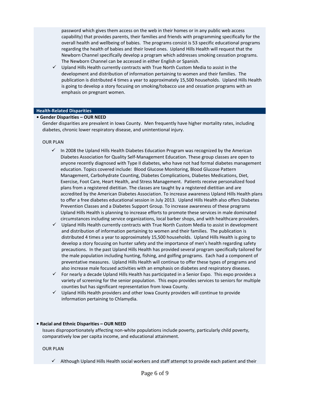password which gives them access on the web in their homes or in any public web access capability) that provides parents, their families and friends with programming specifically for the overall health and wellbeing of babies. The programs consist is 53 specific educational programs regarding the health of babies and their loved ones. Upland Hills Health will request that the Newborn Channel specifically develop a program which addresses smoking cessation programs. The Newborn Channel can be accessed in either English or Spanish.

 $\checkmark$  Upland Hills Health currently contracts with True North Custom Media to assist in the development and distribution of information pertaining to women and their families. The publication is distributed 4 times a year to approximately 15,500 households. Upland Hills Health is going to develop a story focusing on smoking/tobacco use and cessation programs with an emphasis on pregnant women.

#### **Health-Related Disparities**

# **• Gender Disparities – OUR NEED**

Gender disparities are prevalent in Iowa County. Men frequently have higher mortality rates, including diabetes, chronic lower respiratory disease, and unintentional injury.

#### OUR PLAN

- $\checkmark$  In 2008 the Upland Hills Health Diabetes Education Program was recognized by the American Diabetes Association for Quality Self-Management Education. These group classes are open to anyone recently diagnosed with Type II diabetes, who have not had formal diabetes management education. Topics covered include: Blood Glucose Monitoring, Blood Glucose Pattern Management, Carbohydrate Counting, Diabetes Complications, Diabetes Medications, Diet, Exercise, Foot Care, Heart Health, and Stress Management. Patients receive personalized food plans from a registered dietitian. The classes are taught by a registered dietitian and are accredited by the American Diabetes Association. To increase awareness Upland Hills Health plans to offer a free diabetes educational session in July 2013. Upland Hills Health also offers Diabetes Prevention Classes and a Diabetes Support Group. To increase awareness of these programs Upland Hills Health is planning to increase efforts to promote these services in male dominated circumstances including service organizations, local barber shops, and with healthcare providers.
- $\checkmark$  Upland Hills Health currently contracts with True North Custom Media to assist in development and distribution of information pertaining to women and their families. The publication is distributed 4 times a year to approximately 15,500 households. Upland Hills Health is going to develop a story focusing on hunter safety and the importance of men's health regarding safety precautions. In the past Upland Hills Health has provided several program specifically tailored for the male population including hunting, fishing, and golfing programs. Each had a component of preventative measures. Upland Hills Health will continue to offer these types of programs and also increase male focused activities with an emphasis on diabetes and respiratory diseases.
- $\checkmark$  For nearly a decade Upland Hills Health has participated in a Senior Expo. This expo provides a variety of screening for the senior population. This expo provides services to seniors for multiple counties but has significant representation from Iowa County.
- $\checkmark$  Upland Hills Health providers and other Iowa County providers will continue to provide information pertaining to Chlamydia.

#### **• Racial and Ethnic Disparities – OUR NEED**

Issues disproportionately affecting non-white populations include poverty, particularly child poverty, comparatively low per capita income, and educational attainment.

#### OUR PLAN

 $\checkmark$  Although Upland Hills Health social workers and staff attempt to provide each patient and their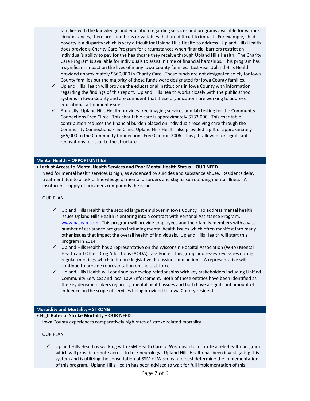families with the knowledge and education regarding services and programs available for various circumstances, there are conditions or variables that are difficult to impact. For example, child poverty is a disparity which is very difficult for Upland Hills Health to address. Upland Hills Health does provide a Charity Care Program for circumstances when financial barriers restrict an individual's ability to pay for the healthcare they receive through Upland Hills Health. The Charity Care Program is available for individuals to assist in time of financial hardships. This program has a significant impact on the lives of many Iowa County families. Last year Upland Hills Health provided approximately \$560,000 in Charity Care. These funds are not designated solely for Iowa County families but the majority of these funds were designated for Iowa County families.

- $\checkmark$  Upland Hills Health will provide the educational institutions in Iowa County with information regarding the findings of this report. Upland Hills Health works closely with the public school systems in Iowa County and are confident that these organizations are working to address educational attainment issues.
- $\checkmark$  Annually, Upland Hills Health provides free imaging services and lab testing for the Community Connections Free Clinic. This charitable care is approximately \$133,000. This charitable contribution reduces the financial burden placed on individuals receiving care through the Community Connections Free Clinic. Upland Hills Health also provided a gift of approximately \$65,000 to the Community Connections Free Clinic in 2006. This gift allowed for significant renovations to occur to the structure.

#### **Mental Health – OPPORTUNITIES**

# **• Lack of Access to Mental Health Services and Poor Mental Health Status – OUR NEED**

Need for mental health services is high, as evidenced by suicides and substance abuse. Residents delay treatment due to a lack of knowledge of mental disorders and stigma surrounding mental illness. An insufficient supply of providers compounds the issues.

#### OUR PLAN

- $\checkmark$  Upland Hills Health is the second largest employer in Iowa County. To address mental health issues Upland Hills Health is entering into a contract with Personal Assistance Program, [www.paseap.com.](http://www.paseap.com/) This program will provide employees and their family members with a vast number of assistance programs including mental health issues which often manifest into many other issues that impact the overall health of individuals. Upland Hills Health will start this program in 2014.
- $\checkmark$  Upland Hills Health has a representative on the Wisconsin Hospital Association (WHA) Mental Health and Other Drug Addictions (AODA) Task Force. This group addresses key issues during regular meetings which influence legislative discussions and actions. A representative will continue to provide representation on the task force.
- $\checkmark$  Upland Hills Health will continue to develop relationships with key stakeholders including Unified Community Services and local Law Enforcement. Both of these entities have been identified as the key decision makers regarding mental health issues and both have a significant amount of influence on the scope of services being provided to Iowa County residents.

#### **Morbidity and Mortality – STRONG**

# **• High Rates of Stroke Mortality – OUR NEED**

Iowa County experiences comparatively high rates of stroke related mortality.

#### OUR PLAN

 $\checkmark$  Upland Hills Health is working with SSM Health Care of Wisconsin to institute a tele-health program which will provide remote access to tele-neurology. Upland Hills Health has been investigating this system and is utilizing the consultation of SSM of Wisconsin to best determine the implementation of this program. Upland Hills Health has been advised to wait for full implementation of this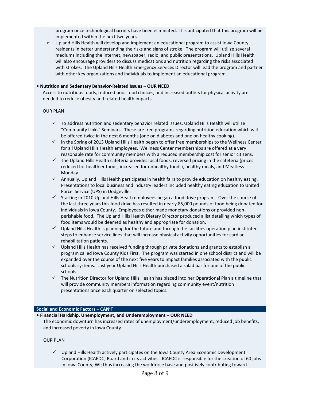program once technological barriers have been eliminated. It is anticipated that this program will be implemented within the next two years.

 $\checkmark$  Upland Hills Health will develop and implement an educational program to assist Iowa County residents in better understanding the risks and signs of stroke. The program will utilize several mediums including the internet, newspaper, radio, and public presentations. Upland Hills Health will also encourage providers to discuss medications and nutrition regarding the risks associated with strokes. The Upland Hills Health Emergency Services Director will lead the program and partner with other key organizations and individuals to implement an educational program.

## **• Nutrition and Sedentary Behavior-Related Issues – OUR NEED**

Access to nutritious foods, reduced poor food choices, and increased outlets for physical activity are needed to reduce obesity and related health impacts.

### OUR PLAN

- $\checkmark$  To address nutrition and sedentary behavior related issues, Upland Hills Health will utilize "Community Links" Seminars. These are free programs regarding nutrition education which will be offered twice in the next 6 months (one on diabetes and one on healthy cooking).
- $\checkmark$  In the Spring of 2013 Upland Hills Health began to offer free memberships to the Wellness Center for all Upland Hills Health employees. Wellness Center memberships are offered at a very reasonable rate for community members with a reduced membership cost for senior citizens.
- $\checkmark$  The Upland Hills Health cafeteria provides local foods, reversed pricing in the cafeteria (prices reduced for healthier foods, increased for unhealthy foods), healthy meals, and Meatless Monday.
- $\checkmark$  Annually, Upland Hills Health participates in health fairs to provide education on healthy eating. Presentations to local business and industry leaders included healthy eating education to United Parcel Service (UPS) in Dodgeville.
- $\checkmark$  Starting in 2010 Upland Hills Heath employees began a food drive program. Over the course of the last three years this food drive has resulted in nearly 85,000 pounds of food being donated for individuals in Iowa County. Employees either made monetary donations or provided nonperishable food. The Upland Hills Health Dietary Director produced a list detailing which types of food items would be deemed as healthy and appropriate for donation.
- $\checkmark$  Upland Hills Health is planning for the future and through the facilities operation plan instituted steps to enhance service lines that will increase physical activity opportunities for cardiac rehabilitation patients.
- $\checkmark$  Upland Hills Health has received funding through private donations and grants to establish a program called Iowa County Kids First. The program was started in one school district and will be expanded over the course of the next five years to impact families associated with the public schools systems. Last year Upland Hills Health purchased a salad bar for one of the public schools.
- $\checkmark$  The Nutrition Director for Upland Hills Health has placed into her Operational Plan a timeline that will provide community members information regarding community event/nutrition presentations once each quarter on selected topics.

#### **Social and Economic Factors – CAN'T**

**• Financial Hardship, Unemployment, and Underemployment – OUR NEED**

The economic downturn has increased rates of unemployment/underemployment, reduced job benefits, and increased poverty in Iowa County.

#### OUR PLAN

 $\checkmark$  Upland Hills Health actively participates on the Iowa County Area Economic Development Corporation (ICAEDC) Board and in its activities. ICAEDC is responsible for the creation of 60 jobs in Iowa County, WI; thus increasing the workforce base and positively contributing toward